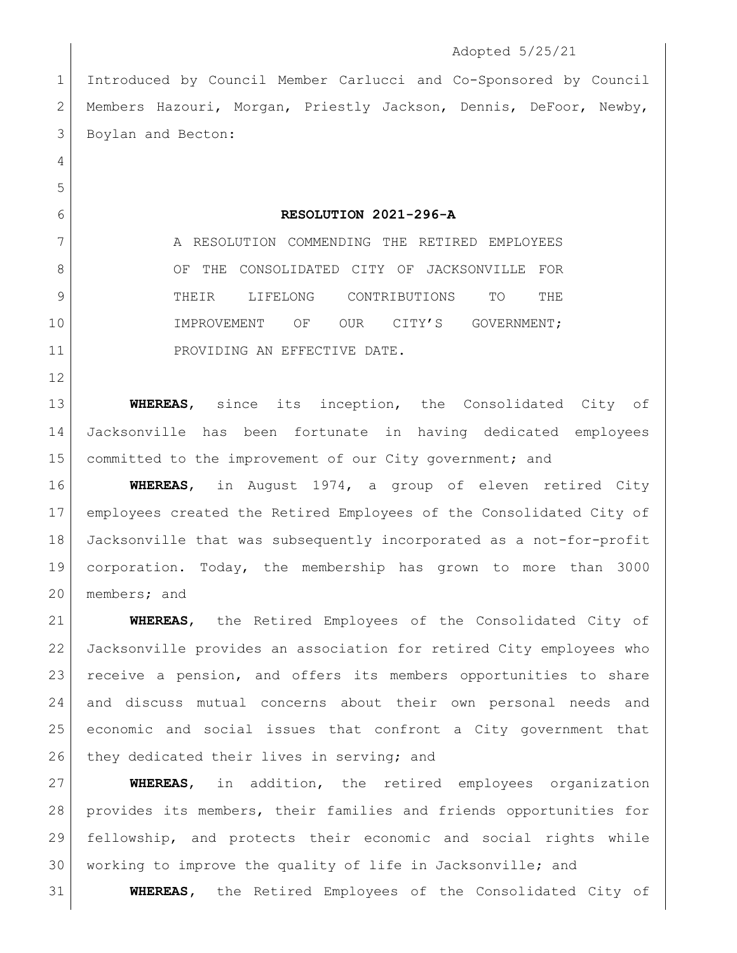## Adopted 5/25/21

 Introduced by Council Member Carlucci and Co-Sponsored by Council Members Hazouri, Morgan, Priestly Jackson, Dennis, DeFoor, Newby, 3 Boylan and Becton:

**RESOLUTION 2021-296-A**

7 A RESOLUTION COMMENDING THE RETIRED EMPLOYEES 8 OF THE CONSOLIDATED CITY OF JACKSONVILLE FOR THEIR LIFELONG CONTRIBUTIONS TO THE 10 IMPROVEMENT OF OUR CITY'S GOVERNMENT; 11 PROVIDING AN EFFECTIVE DATE.

 **WHEREAS**, since its inception, the Consolidated City of Jacksonville has been fortunate in having dedicated employees 15 committed to the improvement of our City government; and

 **WHEREAS**, in August 1974, a group of eleven retired City employees created the Retired Employees of the Consolidated City of Jacksonville that was subsequently incorporated as a not-for-profit corporation. Today, the membership has grown to more than 3000 members; and

 **WHEREAS**, the Retired Employees of the Consolidated City of Jacksonville provides an association for retired City employees who receive a pension, and offers its members opportunities to share and discuss mutual concerns about their own personal needs and economic and social issues that confront a City government that 26 they dedicated their lives in serving; and

 **WHEREAS**, in addition, the retired employees organization provides its members, their families and friends opportunities for fellowship, and protects their economic and social rights while working to improve the quality of life in Jacksonville; and

**WHEREAS,** the Retired Employees of the Consolidated City of